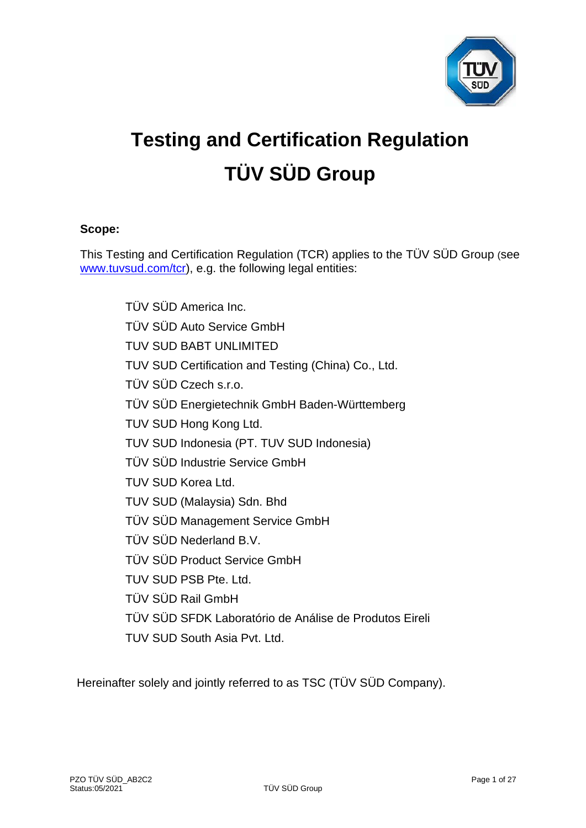

# **Testing and Certification Regulation TÜV SÜD Group**

# **Scope:**

This Testing and Certification Regulation (TCR) applies to the TÜV SÜD Group (see [www.tuvsud.com/tcr\)](http://www.tuvsud.com/tcr), e.g. the following legal entities:

> TÜV SÜD America Inc. TÜV SÜD Auto Service GmbH TUV SUD BABT UNLIMITED TUV SUD Certification and Testing (China) Co., Ltd. TÜV SÜD Czech s.r.o. TÜV SÜD Energietechnik GmbH Baden-Württemberg TUV SUD Hong Kong Ltd. TUV SUD Indonesia (PT. TUV SUD Indonesia) TÜV SÜD Industrie Service GmbH TUV SUD Korea Ltd. TUV SUD (Malaysia) Sdn. Bhd TÜV SÜD Management Service GmbH TÜV SÜD Nederland B.V. TÜV SÜD Product Service GmbH TUV SUD PSB Pte. Ltd. TÜV SÜD Rail GmbH TÜV SÜD SFDK Laboratório de Análise de Produtos Eireli TUV SUD South Asia Pvt. Ltd.

Hereinafter solely and jointly referred to as TSC (TÜV SÜD Company).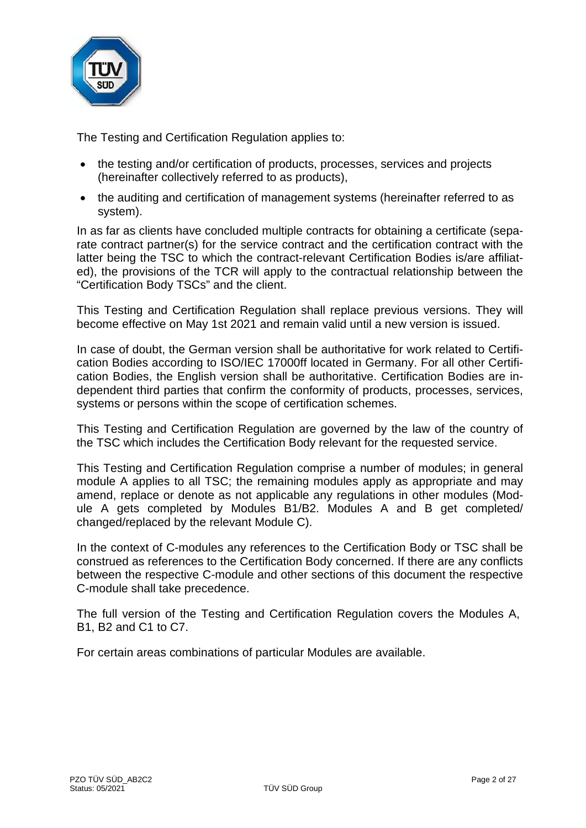

The Testing and Certification Regulation applies to:

- the testing and/or certification of products, processes, services and projects (hereinafter collectively referred to as products),
- the auditing and certification of management systems (hereinafter referred to as system).

In as far as clients have concluded multiple contracts for obtaining a certificate (separate contract partner(s) for the service contract and the certification contract with the latter being the TSC to which the contract-relevant Certification Bodies is/are affiliated), the provisions of the TCR will apply to the contractual relationship between the "Certification Body TSCs" and the client.

This Testing and Certification Regulation shall replace previous versions. They will become effective on May 1st 2021 and remain valid until a new version is issued.

In case of doubt, the German version shall be authoritative for work related to Certification Bodies according to ISO/IEC 17000ff located in Germany. For all other Certification Bodies, the English version shall be authoritative. Certification Bodies are independent third parties that confirm the conformity of products, processes, services, systems or persons within the scope of certification schemes.

This Testing and Certification Regulation are governed by the law of the country of the TSC which includes the Certification Body relevant for the requested service.

This Testing and Certification Regulation comprise a number of modules; in general module A applies to all TSC; the remaining modules apply as appropriate and may amend, replace or denote as not applicable any regulations in other modules (Module A gets completed by Modules B1/B2. Modules A and B get completed/ changed/replaced by the relevant Module C).

In the context of C-modules any references to the Certification Body or TSC shall be construed as references to the Certification Body concerned. If there are any conflicts between the respective C-module and other sections of this document the respective C-module shall take precedence.

The full version of the Testing and Certification Regulation covers the Modules A, B1, B2 and C1 to C7.

For certain areas combinations of particular Modules are available.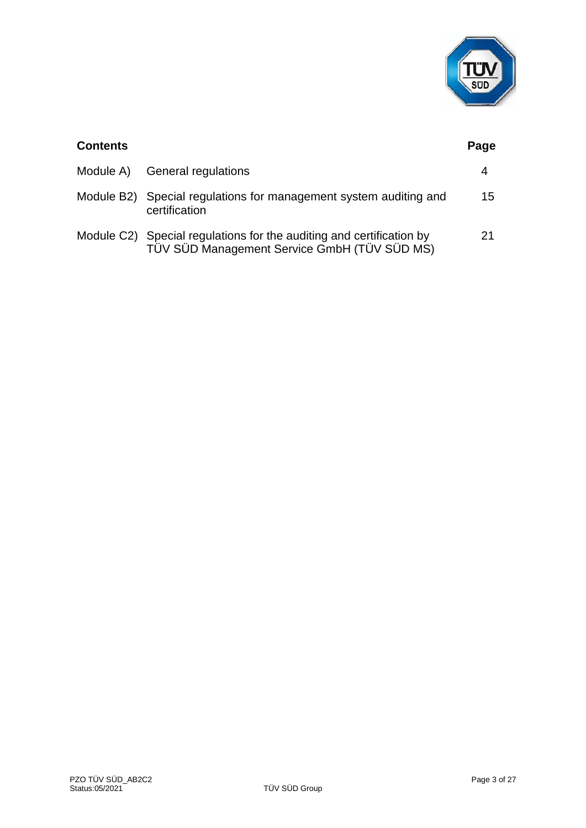

| <b>Contents</b> |                                                                                                                      | Page |
|-----------------|----------------------------------------------------------------------------------------------------------------------|------|
|                 | Module A) General regulations                                                                                        | 4    |
|                 | Module B2) Special regulations for management system auditing and<br>certification                                   | 15   |
|                 | Module C2) Special regulations for the auditing and certification by<br>TÜV SÜD Management Service GmbH (TÜV SÜD MS) | 21   |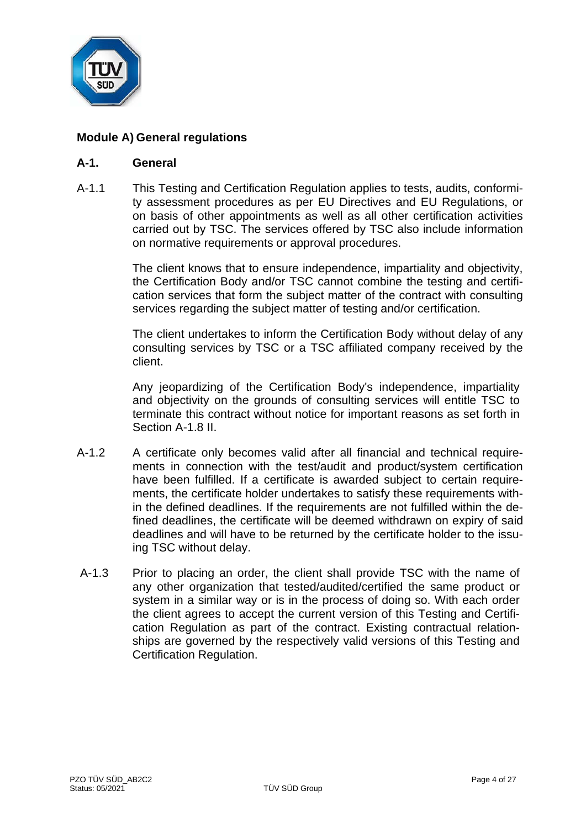

# **Module A) General regulations**

## **A-1. General**

A-1.1 This Testing and Certification Regulation applies to tests, audits, conformity assessment procedures as per EU Directives and EU Regulations, or on basis of other appointments as well as all other certification activities carried out by TSC. The services offered by TSC also include information on normative requirements or approval procedures.

> The client knows that to ensure independence, impartiality and objectivity, the Certification Body and/or TSC cannot combine the testing and certification services that form the subject matter of the contract with consulting services regarding the subject matter of testing and/or certification.

> The client undertakes to inform the Certification Body without delay of any consulting services by TSC or a TSC affiliated company received by the client.

> Any jeopardizing of the Certification Body's independence, impartiality and objectivity on the grounds of consulting services will entitle TSC to terminate this contract without notice for important reasons as set forth in Section A-1.8 II.

- A-1.2 A certificate only becomes valid after all financial and technical requirements in connection with the test/audit and product/system certification have been fulfilled. If a certificate is awarded subject to certain requirements, the certificate holder undertakes to satisfy these requirements within the defined deadlines. If the requirements are not fulfilled within the defined deadlines, the certificate will be deemed withdrawn on expiry of said deadlines and will have to be returned by the certificate holder to the issuing TSC without delay.
- A-1.3 Prior to placing an order, the client shall provide TSC with the name of any other organization that tested/audited/certified the same product or system in a similar way or is in the process of doing so. With each order the client agrees to accept the current version of this Testing and Certification Regulation as part of the contract. Existing contractual relationships are governed by the respectively valid versions of this Testing and Certification Regulation.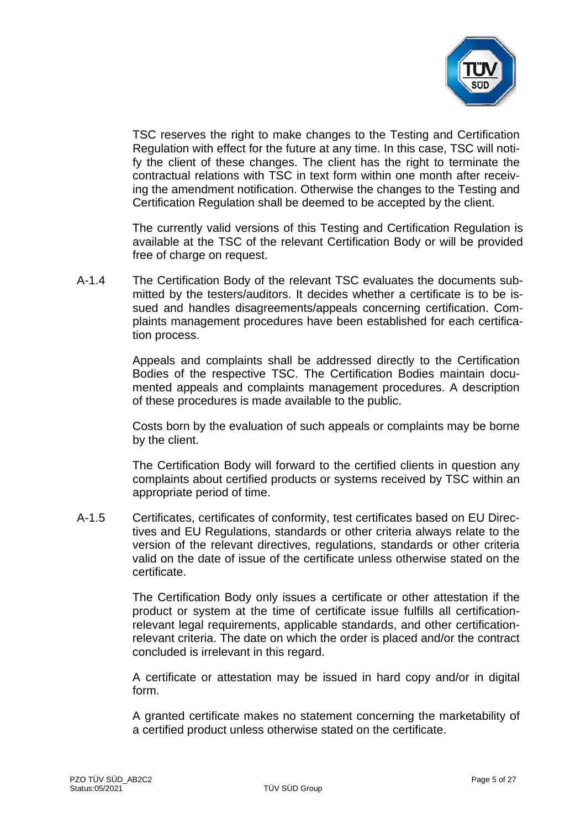

TSC reserves the right to make changes to the Testing and Certification Regulation with effect for the future at any time. In this case, TSC will notify the client of these changes. The client has the right to terminate the contractual relations with TSC in text form within one month after receiving the amendment notification. Otherwise the changes to the Testing and Certification Regulation shall be deemed to be accepted by the client.

The currently valid versions of this Testing and Certification Regulation is available at the TSC of the relevant Certification Body or will be provided free of charge on request.

A-1.4 The Certification Body of the relevant TSC evaluates the documents submitted by the testers/auditors. It decides whether a certificate is to be issued and handles disagreements/appeals concerning certification. Complaints management procedures have been established for each certification process.

> Appeals and complaints shall be addressed directly to the Certification Bodies of the respective TSC. The Certification Bodies maintain documented appeals and complaints management procedures. A description of these procedures is made available to the public.

> Costs born by the evaluation of such appeals or complaints may be borne by the client.

> The Certification Body will forward to the certified clients in question any complaints about certified products or systems received by TSC within an appropriate period of time.

A-1.5 Certificates, certificates of conformity, test certificates based on EU Directives and EU Regulations, standards or other criteria always relate to the version of the relevant directives, regulations, standards or other criteria valid on the date of issue of the certificate unless otherwise stated on the certificate.

> The Certification Body only issues a certificate or other attestation if the product or system at the time of certificate issue fulfills all certificationrelevant legal requirements, applicable standards, and other certificationrelevant criteria. The date on which the order is placed and/or the contract concluded is irrelevant in this regard.

> A certificate or attestation may be issued in hard copy and/or in digital form.

> A granted certificate makes no statement concerning the marketability of a certified product unless otherwise stated on the certificate.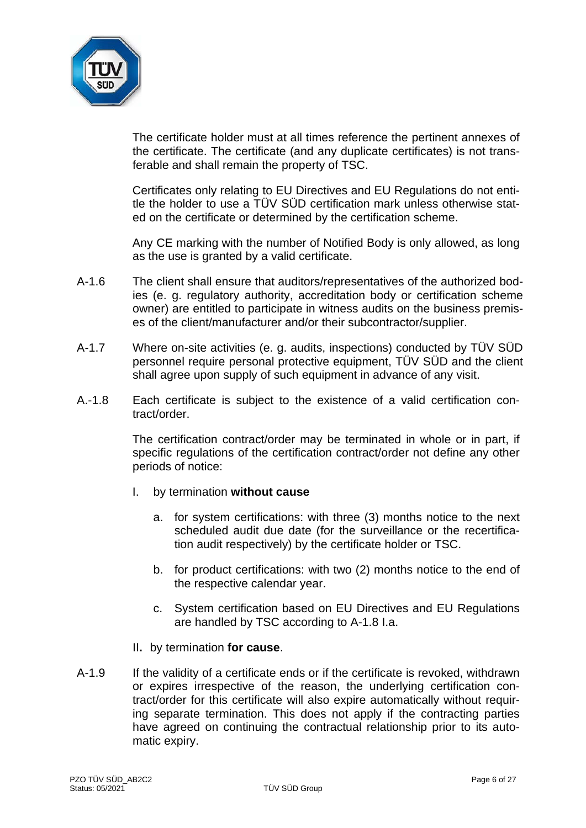

The certificate holder must at all times reference the pertinent annexes of the certificate. The certificate (and any duplicate certificates) is not transferable and shall remain the property of TSC.

Certificates only relating to EU Directives and EU Regulations do not entitle the holder to use a TÜV SÜD certification mark unless otherwise stated on the certificate or determined by the certification scheme.

Any CE marking with the number of Notified Body is only allowed, as long as the use is granted by a valid certificate.

- A-1.6 The client shall ensure that auditors/representatives of the authorized bodies (e. g. regulatory authority, accreditation body or certification scheme owner) are entitled to participate in witness audits on the business premises of the client/manufacturer and/or their subcontractor/supplier.
- A-1.7 Where on-site activities (e. g. audits, inspections) conducted by TÜV SÜD personnel require personal protective equipment, TÜV SÜD and the client shall agree upon supply of such equipment in advance of any visit.
- A.-1.8 Each certificate is subject to the existence of a valid certification contract/order.

The certification contract/order may be terminated in whole or in part, if specific regulations of the certification contract/order not define any other periods of notice:

- I. by termination **without cause**
	- a. for system certifications: with three (3) months notice to the next scheduled audit due date (for the surveillance or the recertification audit respectively) by the certificate holder or TSC.
	- b. for product certifications: with two (2) months notice to the end of the respective calendar year.
	- c. System certification based on EU Directives and EU Regulations are handled by TSC according to A-1.8 I.a.
- II**.** by termination **for cause**.
- A-1.9 If the validity of a certificate ends or if the certificate is revoked, withdrawn or expires irrespective of the reason, the underlying certification contract/order for this certificate will also expire automatically without requiring separate termination. This does not apply if the contracting parties have agreed on continuing the contractual relationship prior to its automatic expiry.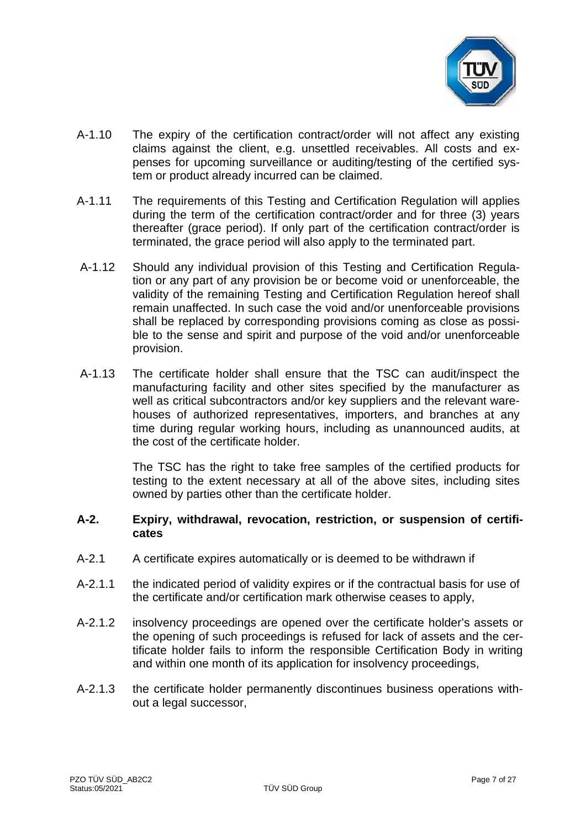

- A-1.10 The expiry of the certification contract/order will not affect any existing claims against the client, e.g. unsettled receivables. All costs and expenses for upcoming surveillance or auditing/testing of the certified system or product already incurred can be claimed.
- A-1.11 The requirements of this Testing and Certification Regulation will applies during the term of the certification contract/order and for three (3) years thereafter (grace period). If only part of the certification contract/order is terminated, the grace period will also apply to the terminated part.
- A-1.12 Should any individual provision of this Testing and Certification Regulation or any part of any provision be or become void or unenforceable, the validity of the remaining Testing and Certification Regulation hereof shall remain unaffected. In such case the void and/or unenforceable provisions shall be replaced by corresponding provisions coming as close as possible to the sense and spirit and purpose of the void and/or unenforceable provision.
- A-1.13 The certificate holder shall ensure that the TSC can audit/inspect the manufacturing facility and other sites specified by the manufacturer as well as critical subcontractors and/or key suppliers and the relevant warehouses of authorized representatives, importers, and branches at any time during regular working hours, including as unannounced audits, at the cost of the certificate holder.

The TSC has the right to take free samples of the certified products for testing to the extent necessary at all of the above sites, including sites owned by parties other than the certificate holder.

## **A-2. Expiry, withdrawal, revocation, restriction, or suspension of certificates**

- A-2.1 A certificate expires automatically or is deemed to be withdrawn if
- A-2.1.1 the indicated period of validity expires or if the contractual basis for use of the certificate and/or certification mark otherwise ceases to apply,
- A-2.1.2 insolvency proceedings are opened over the certificate holder's assets or the opening of such proceedings is refused for lack of assets and the certificate holder fails to inform the responsible Certification Body in writing and within one month of its application for insolvency proceedings,
- A-2.1.3 the certificate holder permanently discontinues business operations without a legal successor,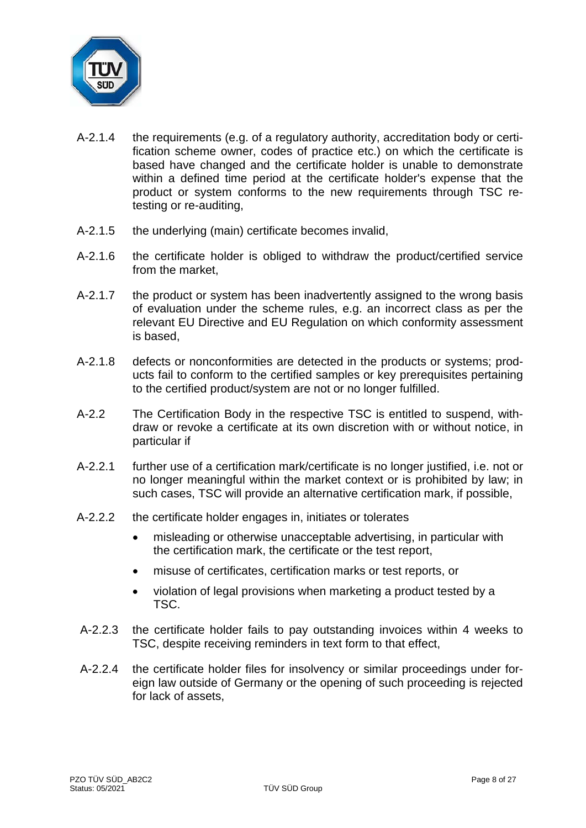

- A-2.1.4 the requirements (e.g. of a regulatory authority, accreditation body or certification scheme owner, codes of practice etc.) on which the certificate is based have changed and the certificate holder is unable to demonstrate within a defined time period at the certificate holder's expense that the product or system conforms to the new requirements through TSC retesting or re-auditing,
- A-2.1.5 the underlying (main) certificate becomes invalid,
- A-2.1.6 the certificate holder is obliged to withdraw the product/certified service from the market,
- A-2.1.7 the product or system has been inadvertently assigned to the wrong basis of evaluation under the scheme rules, e.g. an incorrect class as per the relevant EU Directive and EU Regulation on which conformity assessment is based,
- A-2.1.8 defects or nonconformities are detected in the products or systems; products fail to conform to the certified samples or key prerequisites pertaining to the certified product/system are not or no longer fulfilled.
- A-2.2 The Certification Body in the respective TSC is entitled to suspend, withdraw or revoke a certificate at its own discretion with or without notice, in particular if
- A-2.2.1 further use of a certification mark/certificate is no longer justified, i.e. not or no longer meaningful within the market context or is prohibited by law; in such cases, TSC will provide an alternative certification mark, if possible,
- A-2.2.2 the certificate holder engages in, initiates or tolerates
	- misleading or otherwise unacceptable advertising, in particular with the certification mark, the certificate or the test report,
	- misuse of certificates, certification marks or test reports, or
	- violation of legal provisions when marketing a product tested by a TSC.
- A-2.2.3 the certificate holder fails to pay outstanding invoices within 4 weeks to TSC, despite receiving reminders in text form to that effect,
- A-2.2.4 the certificate holder files for insolvency or similar proceedings under foreign law outside of Germany or the opening of such proceeding is rejected for lack of assets,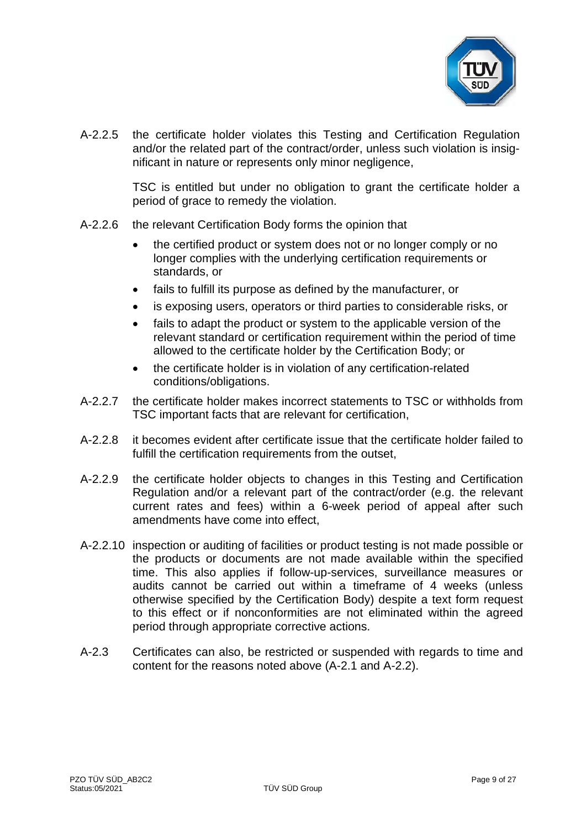

A-2.2.5 the certificate holder violates this Testing and Certification Regulation and/or the related part of the contract/order, unless such violation is insignificant in nature or represents only minor negligence,

> TSC is entitled but under no obligation to grant the certificate holder a period of grace to remedy the violation.

- A-2.2.6 the relevant Certification Body forms the opinion that
	- the certified product or system does not or no longer comply or no longer complies with the underlying certification requirements or standards, or
	- fails to fulfill its purpose as defined by the manufacturer, or
	- is exposing users, operators or third parties to considerable risks, or
	- fails to adapt the product or system to the applicable version of the relevant standard or certification requirement within the period of time allowed to the certificate holder by the Certification Body; or
	- the certificate holder is in violation of any certification-related conditions/obligations.
- A-2.2.7 the certificate holder makes incorrect statements to TSC or withholds from TSC important facts that are relevant for certification,
- A-2.2.8 it becomes evident after certificate issue that the certificate holder failed to fulfill the certification requirements from the outset,
- A-2.2.9 the certificate holder objects to changes in this Testing and Certification Regulation and/or a relevant part of the contract/order (e.g. the relevant current rates and fees) within a 6-week period of appeal after such amendments have come into effect,
- A-2.2.10 inspection or auditing of facilities or product testing is not made possible or the products or documents are not made available within the specified time. This also applies if follow-up-services, surveillance measures or audits cannot be carried out within a timeframe of 4 weeks (unless otherwise specified by the Certification Body) despite a text form request to this effect or if nonconformities are not eliminated within the agreed period through appropriate corrective actions.
- A-2.3 Certificates can also, be restricted or suspended with regards to time and content for the reasons noted above (A-2.1 and A-2.2).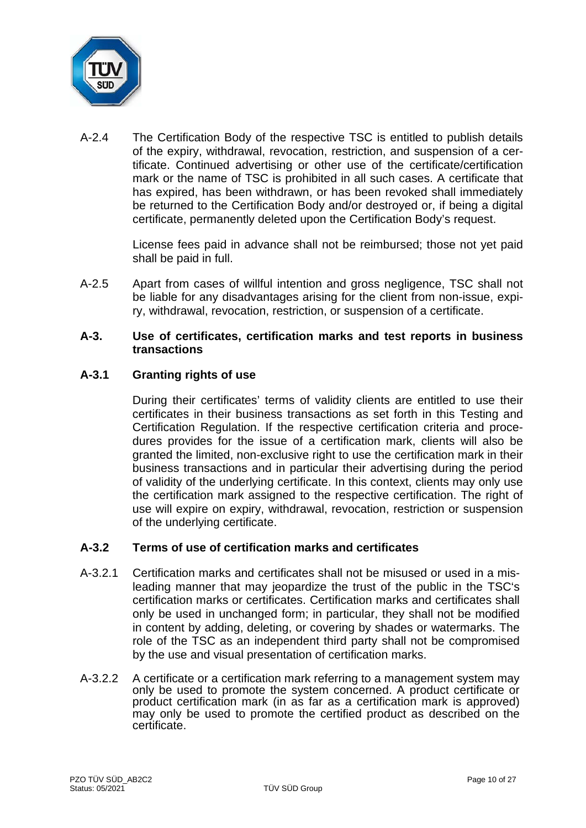

A-2.4 The Certification Body of the respective TSC is entitled to publish details of the expiry, withdrawal, revocation, restriction, and suspension of a certificate. Continued advertising or other use of the certificate/certification mark or the name of TSC is prohibited in all such cases. A certificate that has expired, has been withdrawn, or has been revoked shall immediately be returned to the Certification Body and/or destroyed or, if being a digital certificate, permanently deleted upon the Certification Body's request.

> License fees paid in advance shall not be reimbursed; those not yet paid shall be paid in full.

A-2.5 Apart from cases of willful intention and gross negligence, TSC shall not be liable for any disadvantages arising for the client from non-issue, expiry, withdrawal, revocation, restriction, or suspension of a certificate.

## **A-3. Use of certificates, certification marks and test reports in business transactions**

# **A-3.1 Granting rights of use**

During their certificates' terms of validity clients are entitled to use their certificates in their business transactions as set forth in this Testing and Certification Regulation. If the respective certification criteria and procedures provides for the issue of a certification mark, clients will also be granted the limited, non-exclusive right to use the certification mark in their business transactions and in particular their advertising during the period of validity of the underlying certificate. In this context, clients may only use the certification mark assigned to the respective certification. The right of use will expire on expiry, withdrawal, revocation, restriction or suspension of the underlying certificate.

# **A-3.2 Terms of use of certification marks and certificates**

- A-3.2.1 Certification marks and certificates shall not be misused or used in a misleading manner that may jeopardize the trust of the public in the TSC's certification marks or certificates. Certification marks and certificates shall only be used in unchanged form; in particular, they shall not be modified in content by adding, deleting, or covering by shades or watermarks. The role of the TSC as an independent third party shall not be compromised by the use and visual presentation of certification marks.
- A-3.2.2 A certificate or a certification mark referring to a management system may only be used to promote the system concerned. A product certificate or product certification mark (in as far as a certification mark is approved) may only be used to promote the certified product as described on the certificate.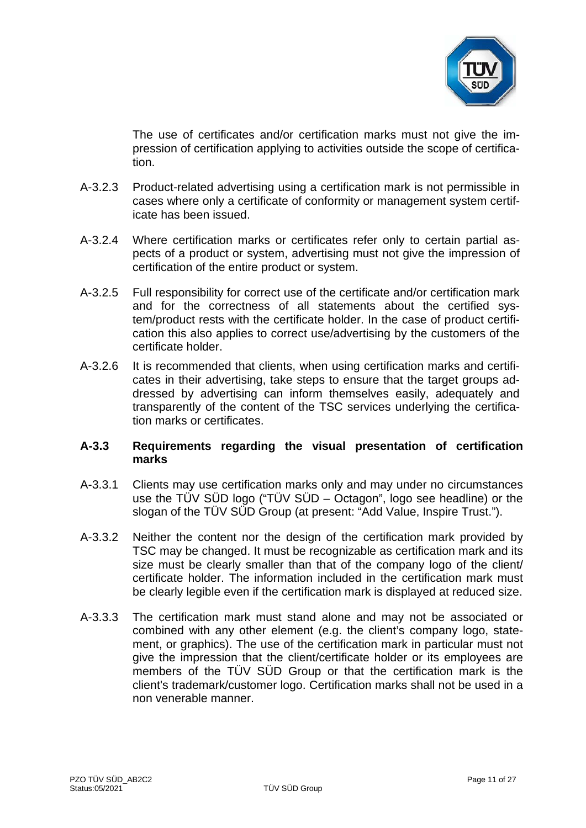

The use of certificates and/or certification marks must not give the impression of certification applying to activities outside the scope of certification.

- A-3.2.3 Product-related advertising using a certification mark is not permissible in cases where only a certificate of conformity or management system certificate has been issued.
- A-3.2.4 Where certification marks or certificates refer only to certain partial aspects of a product or system, advertising must not give the impression of certification of the entire product or system.
- A-3.2.5 Full responsibility for correct use of the certificate and/or certification mark and for the correctness of all statements about the certified system/product rests with the certificate holder. In the case of product certification this also applies to correct use/advertising by the customers of the certificate holder.
- A-3.2.6 It is recommended that clients, when using certification marks and certificates in their advertising, take steps to ensure that the target groups addressed by advertising can inform themselves easily, adequately and transparently of the content of the TSC services underlying the certification marks or certificates.

# **A-3.3 Requirements regarding the visual presentation of certification marks**

- A-3.3.1 Clients may use certification marks only and may under no circumstances use the TÜV SÜD logo ("TÜV SÜD – Octagon", logo see headline) or the slogan of the TÜV SÜD Group (at present: "Add Value, Inspire Trust.").
- A-3.3.2 Neither the content nor the design of the certification mark provided by TSC may be changed. It must be recognizable as certification mark and its size must be clearly smaller than that of the company logo of the client/ certificate holder. The information included in the certification mark must be clearly legible even if the certification mark is displayed at reduced size.
- A-3.3.3 The certification mark must stand alone and may not be associated or combined with any other element (e.g. the client's company logo, statement, or graphics). The use of the certification mark in particular must not give the impression that the client/certificate holder or its employees are members of the TÜV SÜD Group or that the certification mark is the client's trademark/customer logo. Certification marks shall not be used in a non venerable manner.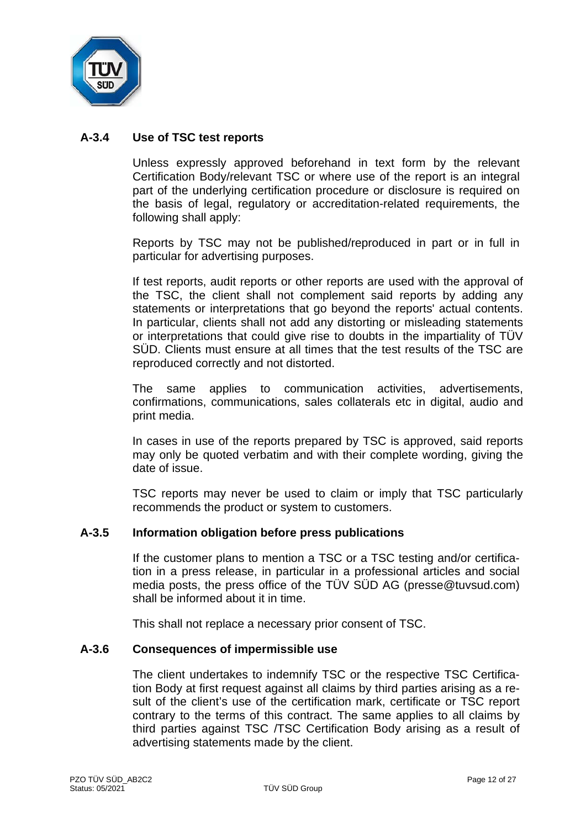

# **A-3.4 Use of TSC test reports**

Unless expressly approved beforehand in text form by the relevant Certification Body/relevant TSC or where use of the report is an integral part of the underlying certification procedure or disclosure is required on the basis of legal, regulatory or accreditation-related requirements, the following shall apply:

Reports by TSC may not be published/reproduced in part or in full in particular for advertising purposes.

If test reports, audit reports or other reports are used with the approval of the TSC, the client shall not complement said reports by adding any statements or interpretations that go beyond the reports' actual contents. In particular, clients shall not add any distorting or misleading statements or interpretations that could give rise to doubts in the impartiality of TÜV SÜD. Clients must ensure at all times that the test results of the TSC are reproduced correctly and not distorted.

The same applies to communication activities, advertisements, confirmations, communications, sales collaterals etc in digital, audio and print media.

In cases in use of the reports prepared by TSC is approved, said reports may only be quoted verbatim and with their complete wording, giving the date of issue.

TSC reports may never be used to claim or imply that TSC particularly recommends the product or system to customers.

## **A-3.5 Information obligation before press publications**

If the customer plans to mention a TSC or a TSC testing and/or certification in a press release, in particular in a professional articles and social media posts, the press office of the TÜV SÜD AG (presse@tuvsud.com) shall be informed about it in time.

This shall not replace a necessary prior consent of TSC.

## **A-3.6 Consequences of impermissible use**

The client undertakes to indemnify TSC or the respective TSC Certification Body at first request against all claims by third parties arising as a result of the client's use of the certification mark, certificate or TSC report contrary to the terms of this contract. The same applies to all claims by third parties against TSC /TSC Certification Body arising as a result of advertising statements made by the client.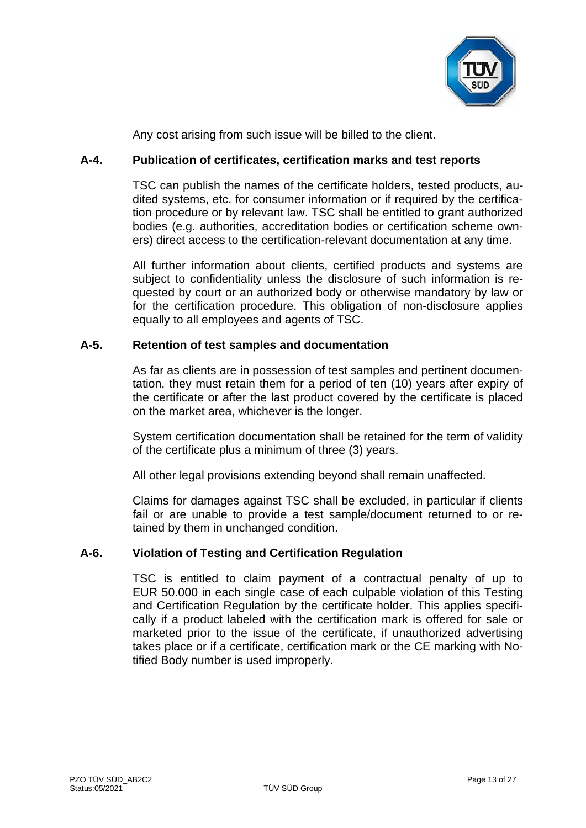

Any cost arising from such issue will be billed to the client.

# **A-4. Publication of certificates, certification marks and test reports**

TSC can publish the names of the certificate holders, tested products, audited systems, etc. for consumer information or if required by the certification procedure or by relevant law. TSC shall be entitled to grant authorized bodies (e.g. authorities, accreditation bodies or certification scheme owners) direct access to the certification-relevant documentation at any time.

All further information about clients, certified products and systems are subject to confidentiality unless the disclosure of such information is requested by court or an authorized body or otherwise mandatory by law or for the certification procedure. This obligation of non-disclosure applies equally to all employees and agents of TSC.

# **A-5. Retention of test samples and documentation**

As far as clients are in possession of test samples and pertinent documentation, they must retain them for a period of ten (10) years after expiry of the certificate or after the last product covered by the certificate is placed on the market area, whichever is the longer.

System certification documentation shall be retained for the term of validity of the certificate plus a minimum of three (3) years.

All other legal provisions extending beyond shall remain unaffected.

Claims for damages against TSC shall be excluded, in particular if clients fail or are unable to provide a test sample/document returned to or retained by them in unchanged condition.

# **A-6. Violation of Testing and Certification Regulation**

TSC is entitled to claim payment of a contractual penalty of up to EUR 50.000 in each single case of each culpable violation of this Testing and Certification Regulation by the certificate holder. This applies specifically if a product labeled with the certification mark is offered for sale or marketed prior to the issue of the certificate, if unauthorized advertising takes place or if a certificate, certification mark or the CE marking with Notified Body number is used improperly.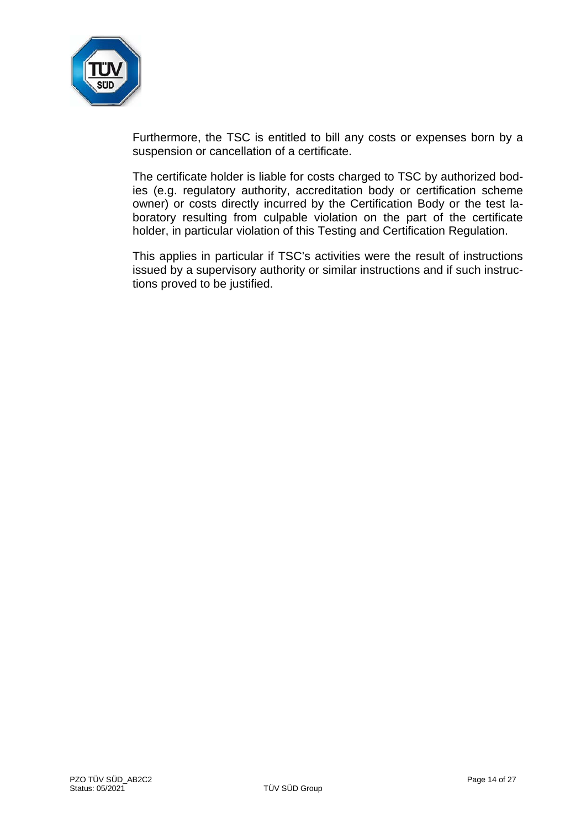

Furthermore, the TSC is entitled to bill any costs or expenses born by a suspension or cancellation of a certificate.

The certificate holder is liable for costs charged to TSC by authorized bodies (e.g. regulatory authority, accreditation body or certification scheme owner) or costs directly incurred by the Certification Body or the test laboratory resulting from culpable violation on the part of the certificate holder, in particular violation of this Testing and Certification Regulation.

This applies in particular if TSC's activities were the result of instructions issued by a supervisory authority or similar instructions and if such instructions proved to be justified.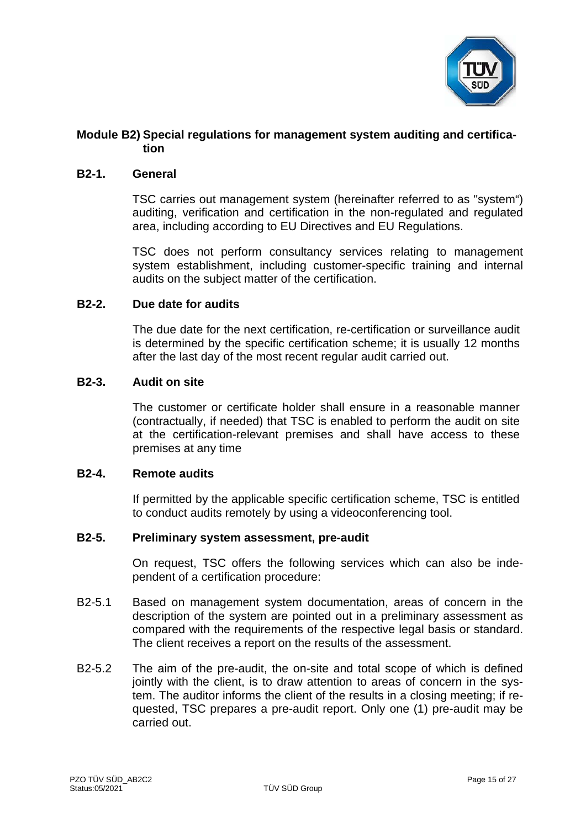

# **Module B2) Special regulations for management system auditing and certification**

## **B2-1. General**

TSC carries out management system (hereinafter referred to as "system") auditing, verification and certification in the non-regulated and regulated area, including according to EU Directives and EU Regulations.

TSC does not perform consultancy services relating to management system establishment, including customer-specific training and internal audits on the subject matter of the certification.

## **B2-2. Due date for audits**

The due date for the next certification, re-certification or surveillance audit is determined by the specific certification scheme; it is usually 12 months after the last day of the most recent regular audit carried out.

## **B2-3. Audit on site**

The customer or certificate holder shall ensure in a reasonable manner (contractually, if needed) that TSC is enabled to perform the audit on site at the certification-relevant premises and shall have access to these premises at any time

## **B2-4. Remote audits**

If permitted by the applicable specific certification scheme, TSC is entitled to conduct audits remotely by using a videoconferencing tool.

# **B2-5. Preliminary system assessment, pre-audit**

On request, TSC offers the following services which can also be independent of a certification procedure:

- B2-5.1 Based on management system documentation, areas of concern in the description of the system are pointed out in a preliminary assessment as compared with the requirements of the respective legal basis or standard. The client receives a report on the results of the assessment.
- B2-5.2 The aim of the pre-audit, the on-site and total scope of which is defined jointly with the client, is to draw attention to areas of concern in the system. The auditor informs the client of the results in a closing meeting; if requested, TSC prepares a pre-audit report. Only one (1) pre-audit may be carried out.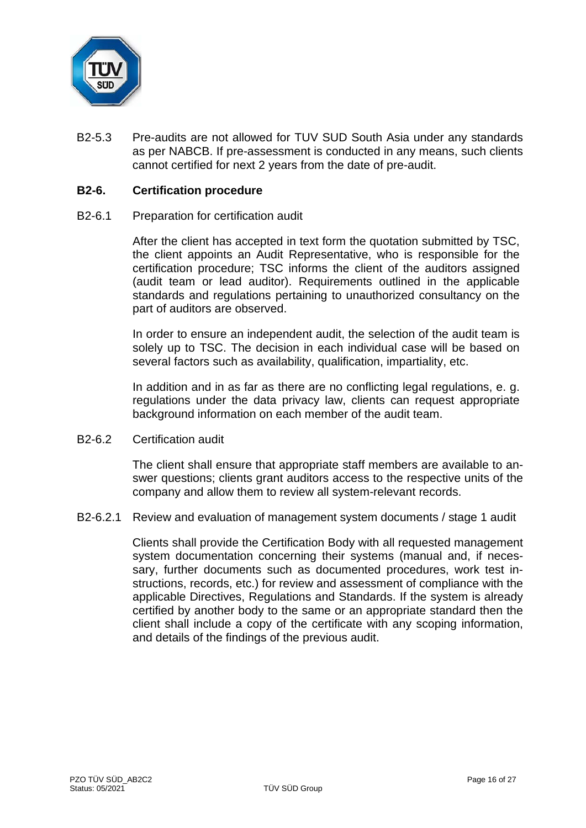

B2-5.3 Pre-audits are not allowed for TUV SUD South Asia under any standards as per NABCB. If pre-assessment is conducted in any means, such clients cannot certified for next 2 years from the date of pre-audit.

## **B2-6. Certification procedure**

## B2-6.1 Preparation for certification audit

After the client has accepted in text form the quotation submitted by TSC, the client appoints an Audit Representative, who is responsible for the certification procedure; TSC informs the client of the auditors assigned (audit team or lead auditor). Requirements outlined in the applicable standards and regulations pertaining to unauthorized consultancy on the part of auditors are observed.

In order to ensure an independent audit, the selection of the audit team is solely up to TSC. The decision in each individual case will be based on several factors such as availability, qualification, impartiality, etc.

In addition and in as far as there are no conflicting legal regulations, e. g. regulations under the data privacy law, clients can request appropriate background information on each member of the audit team.

## B2-6.2 Certification audit

The client shall ensure that appropriate staff members are available to answer questions; clients grant auditors access to the respective units of the company and allow them to review all system-relevant records.

B2-6.2.1 Review and evaluation of management system documents / stage 1 audit

Clients shall provide the Certification Body with all requested management system documentation concerning their systems (manual and, if necessary, further documents such as documented procedures, work test instructions, records, etc.) for review and assessment of compliance with the applicable Directives, Regulations and Standards. If the system is already certified by another body to the same or an appropriate standard then the client shall include a copy of the certificate with any scoping information, and details of the findings of the previous audit.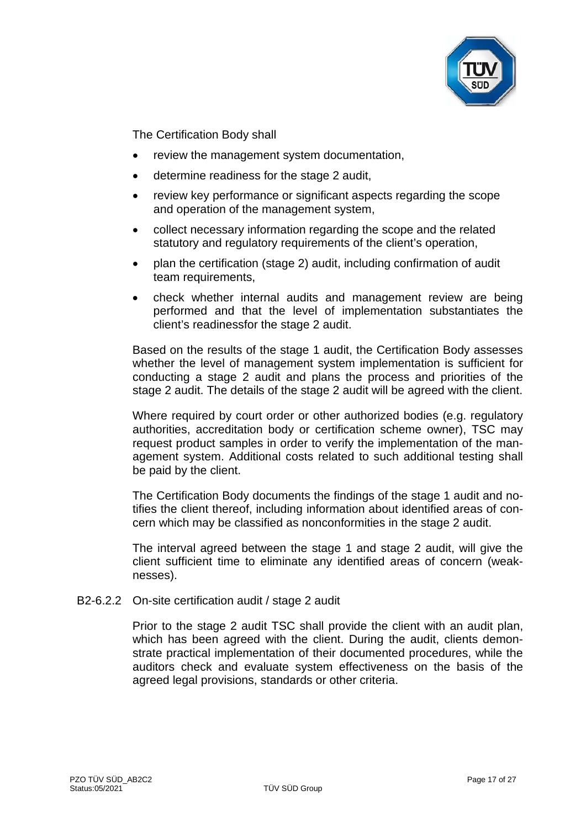

The Certification Body shall

- review the management system documentation,
- determine readiness for the stage 2 audit,
- review key performance or significant aspects regarding the scope and operation of the management system,
- collect necessary information regarding the scope and the related statutory and regulatory requirements of the client's operation,
- plan the certification (stage 2) audit, including confirmation of audit team requirements,
- check whether internal audits and management review are being performed and that the level of implementation substantiates the client's readinessfor the stage 2 audit.

Based on the results of the stage 1 audit, the Certification Body assesses whether the level of management system implementation is sufficient for conducting a stage 2 audit and plans the process and priorities of the stage 2 audit. The details of the stage 2 audit will be agreed with the client.

Where required by court order or other authorized bodies (e.g. regulatory authorities, accreditation body or certification scheme owner), TSC may request product samples in order to verify the implementation of the management system. Additional costs related to such additional testing shall be paid by the client.

The Certification Body documents the findings of the stage 1 audit and notifies the client thereof, including information about identified areas of concern which may be classified as nonconformities in the stage 2 audit.

The interval agreed between the stage 1 and stage 2 audit, will give the client sufficient time to eliminate any identified areas of concern (weaknesses).

B2-6.2.2 On-site certification audit / stage 2 audit

Prior to the stage 2 audit TSC shall provide the client with an audit plan, which has been agreed with the client. During the audit, clients demonstrate practical implementation of their documented procedures, while the auditors check and evaluate system effectiveness on the basis of the agreed legal provisions, standards or other criteria.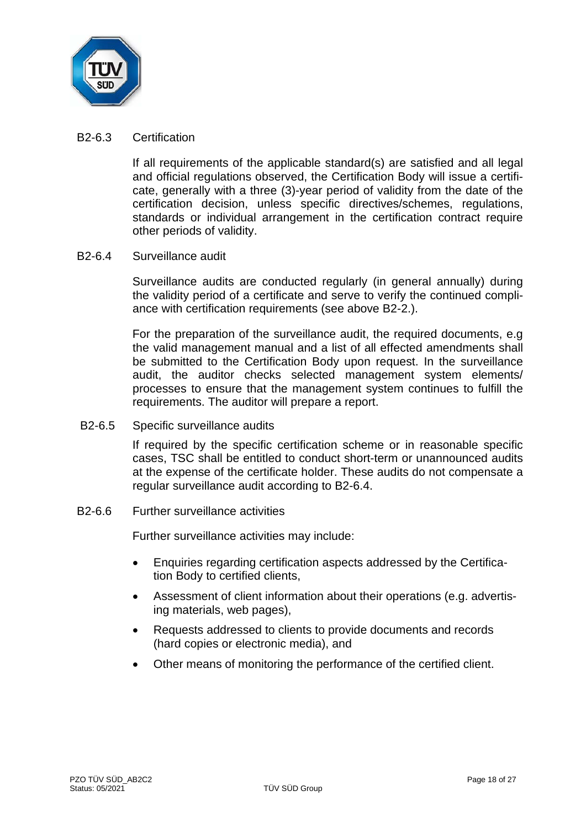

## B2-6.3 Certification

If all requirements of the applicable standard(s) are satisfied and all legal and official regulations observed, the Certification Body will issue a certificate, generally with a three (3)-year period of validity from the date of the certification decision, unless specific directives/schemes, regulations, standards or individual arrangement in the certification contract require other periods of validity.

## B2-6.4 Surveillance audit

Surveillance audits are conducted regularly (in general annually) during the validity period of a certificate and serve to verify the continued compliance with certification requirements (see above B2-2.).

For the preparation of the surveillance audit, the required documents, e.g the valid management manual and a list of all effected amendments shall be submitted to the Certification Body upon request. In the surveillance audit, the auditor checks selected management system elements/ processes to ensure that the management system continues to fulfill the requirements. The auditor will prepare a report.

B2-6.5 Specific surveillance audits

If required by the specific certification scheme or in reasonable specific cases, TSC shall be entitled to conduct short-term or unannounced audits at the expense of the certificate holder. These audits do not compensate a regular surveillance audit according to B2-6.4.

B2-6.6 Further surveillance activities

Further surveillance activities may include:

- Enquiries regarding certification aspects addressed by the Certification Body to certified clients,
- Assessment of client information about their operations (e.g. advertising materials, web pages),
- Requests addressed to clients to provide documents and records (hard copies or electronic media), and
- Other means of monitoring the performance of the certified client.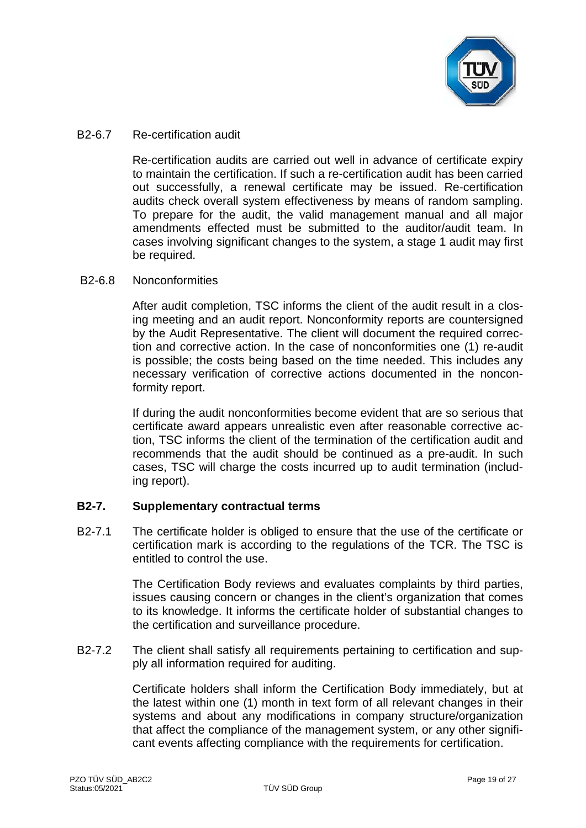

## B2-6.7 Re-certification audit

Re-certification audits are carried out well in advance of certificate expiry to maintain the certification. If such a re-certification audit has been carried out successfully, a renewal certificate may be issued. Re-certification audits check overall system effectiveness by means of random sampling. To prepare for the audit, the valid management manual and all major amendments effected must be submitted to the auditor/audit team. In cases involving significant changes to the system, a stage 1 audit may first be required.

## B2-6.8 Nonconformities

After audit completion, TSC informs the client of the audit result in a closing meeting and an audit report. Nonconformity reports are countersigned by the Audit Representative. The client will document the required correction and corrective action. In the case of nonconformities one (1) re-audit is possible; the costs being based on the time needed. This includes any necessary verification of corrective actions documented in the nonconformity report.

If during the audit nonconformities become evident that are so serious that certificate award appears unrealistic even after reasonable corrective action, TSC informs the client of the termination of the certification audit and recommends that the audit should be continued as a pre-audit. In such cases, TSC will charge the costs incurred up to audit termination (including report).

# **B2-7. Supplementary contractual terms**

B2-7.1 The certificate holder is obliged to ensure that the use of the certificate or certification mark is according to the regulations of the TCR. The TSC is entitled to control the use.

> The Certification Body reviews and evaluates complaints by third parties, issues causing concern or changes in the client's organization that comes to its knowledge. It informs the certificate holder of substantial changes to the certification and surveillance procedure.

B2-7.2 The client shall satisfy all requirements pertaining to certification and supply all information required for auditing.

> Certificate holders shall inform the Certification Body immediately, but at the latest within one (1) month in text form of all relevant changes in their systems and about any modifications in company structure/organization that affect the compliance of the management system, or any other significant events affecting compliance with the requirements for certification.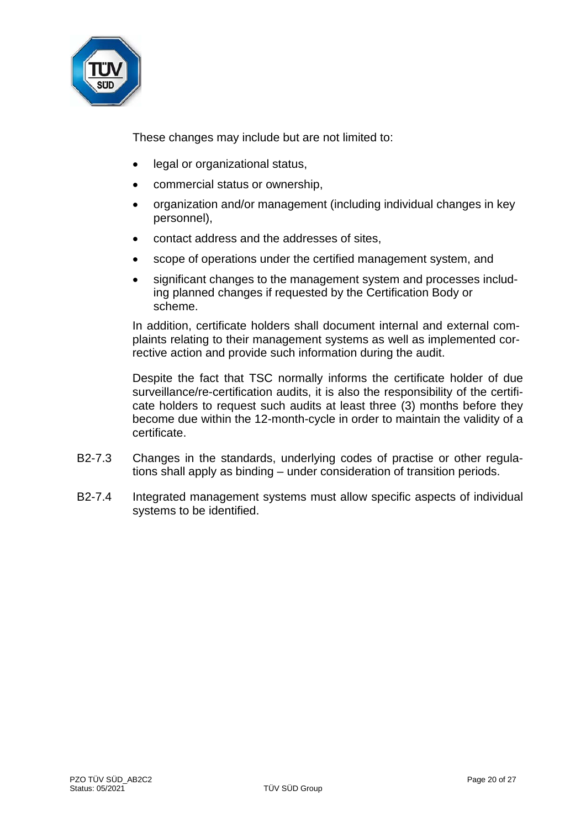

These changes may include but are not limited to:

- legal or organizational status,
- commercial status or ownership,
- organization and/or management (including individual changes in key personnel),
- contact address and the addresses of sites,
- scope of operations under the certified management system, and
- significant changes to the management system and processes including planned changes if requested by the Certification Body or scheme.

In addition, certificate holders shall document internal and external complaints relating to their management systems as well as implemented corrective action and provide such information during the audit.

Despite the fact that TSC normally informs the certificate holder of due surveillance/re-certification audits, it is also the responsibility of the certificate holders to request such audits at least three (3) months before they become due within the 12-month-cycle in order to maintain the validity of a certificate.

- B2-7.3 Changes in the standards, underlying codes of practise or other regulations shall apply as binding – under consideration of transition periods.
- B2-7.4 Integrated management systems must allow specific aspects of individual systems to be identified.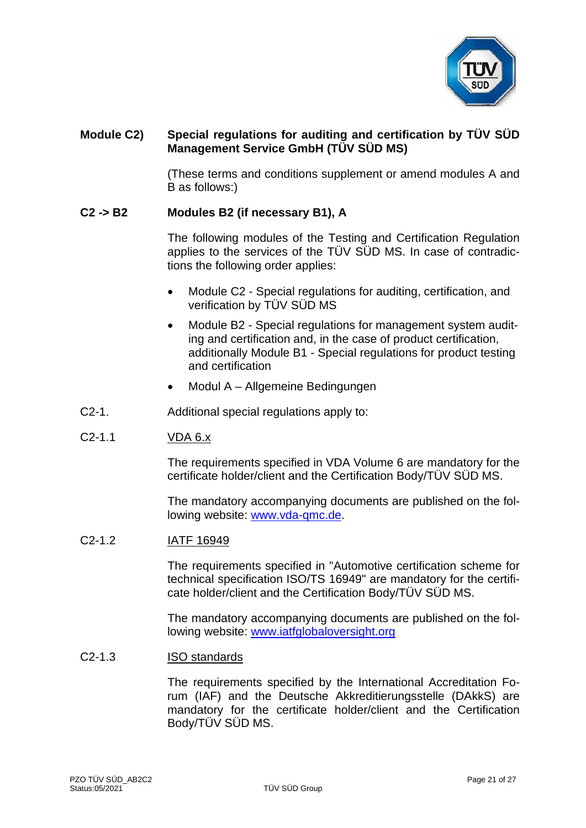

# **Module C2) Special regulations for auditing and certification by TÜV SÜD Management Service GmbH (TÜV SÜD MS)**

(These terms and conditions supplement or amend modules A and B as follows:)

## **C2 -> B2 Modules B2 (if necessary B1), A**

The following modules of the Testing and Certification Regulation applies to the services of the TÜV SÜD MS. In case of contradictions the following order applies:

- Module C2 Special regulations for auditing, certification, and verification by TÜV SÜD MS
- Module B2 Special regulations for management system auditing and certification and, in the case of product certification, additionally Module B1 - Special regulations for product testing and certification
- Modul A Allgemeine Bedingungen
- C2-1. Additional special regulations apply to:

## C2-1.1 VDA 6.x

The requirements specified in VDA Volume 6 are mandatory for the certificate holder/client and the Certification Body/TÜV SÜD MS.

The mandatory accompanying documents are published on the following website: [www.vda-qmc.de.](http://www.vda-qmc.de/)

## C2-1.2 IATF 16949

The requirements specified in "Automotive certification scheme for technical specification ISO/TS 16949" are mandatory for the certificate holder/client and the Certification Body/TÜV SÜD MS.

The mandatory accompanying documents are published on the following website: [www.iatfglobaloversight.org](http://www.iatfglobaloversight.org/)

#### C2-1.3 ISO standards

The requirements specified by the International Accreditation Forum (IAF) and the Deutsche Akkreditierungsstelle (DAkkS) are mandatory for the certificate holder/client and the Certification Body/TÜV SÜD MS.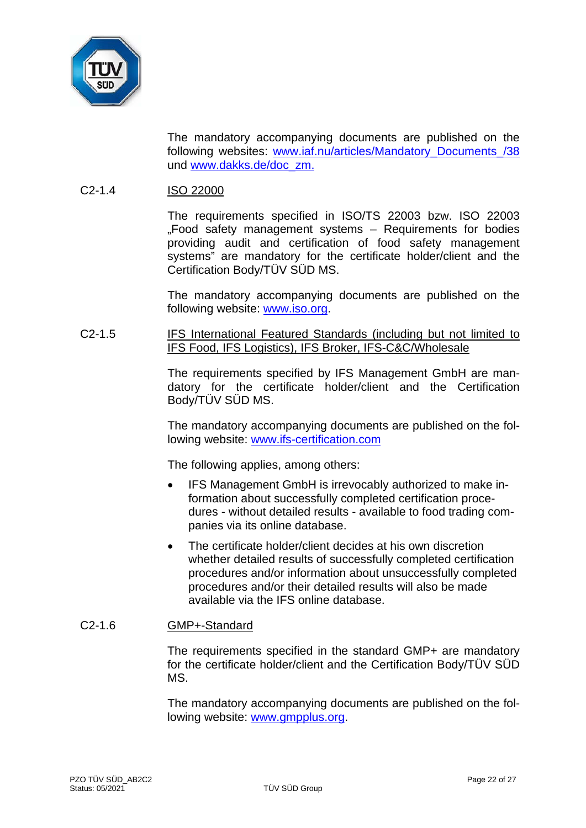

The mandatory accompanying documents are published on the following websites: [www.iaf.nu/articles/Mandatory\\_Documents\\_/38](http://www.iaf.nu/articles/Mandatory_Documents_/38) und [www.dakks.de/doc\\_zm.](http://www.dakks.de/doc_zm)

# C2-1.4 ISO 22000

The requirements specified in ISO/TS 22003 bzw. ISO 22003 "Food safety management systems – Requirements for bodies providing audit and certification of food safety management systems" are mandatory for the certificate holder/client and the Certification Body/TÜV SÜD MS.

The mandatory accompanying documents are published on the following website: [www.iso.org.](http://www.iso.org/)

## C2-1.5 IFS International Featured Standards (including but not limited to IFS Food, IFS Logistics), IFS Broker, IFS-C&C/Wholesale

The requirements specified by IFS Management GmbH are mandatory for the certificate holder/client and the Certification Body/TÜV SÜD MS.

The mandatory accompanying documents are published on the following website: [www.ifs-certification.com](http://www.ifs-certification.com/)

The following applies, among others:

- IFS Management GmbH is irrevocably authorized to make information about successfully completed certification procedures - without detailed results - available to food trading companies via its online database.
- The certificate holder/client decides at his own discretion whether detailed results of successfully completed certification procedures and/or information about unsuccessfully completed procedures and/or their detailed results will also be made available via the IFS online database.

# C2-1.6 GMP+-Standard

The requirements specified in the standard GMP+ are mandatory for the certificate holder/client and the Certification Body/TÜV SÜD MS.

The mandatory accompanying documents are published on the following website: [www.gmpplus.org.](http://www.gmpplus.org/)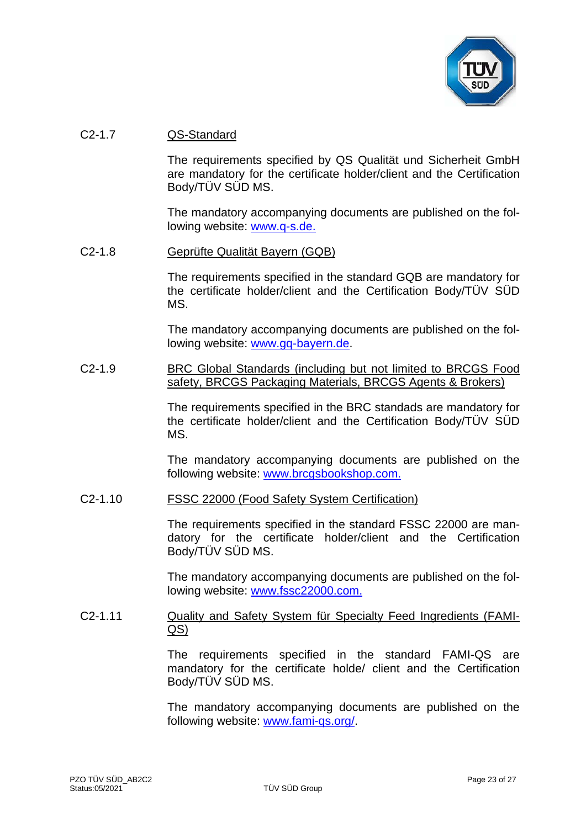

## C2-1.7 QS-Standard

The requirements specified by QS Qualität und Sicherheit GmbH are mandatory for the certificate holder/client and the Certification Body/TÜV SÜD MS.

The mandatory accompanying documents are published on the following website: [www.q-s.de.](http://www.q-s.de/)

#### C2-1.8 Geprüfte Qualität Bayern (GQB)

The requirements specified in the standard GQB are mandatory for the certificate holder/client and the Certification Body/TÜV SÜD MS.

The mandatory accompanying documents are published on the following website: [www.gq-bayern.de.](http://www.gq-bayern.de/)

## C2-1.9 BRC Global Standards (including but not limited to BRCGS Food safety, BRCGS Packaging Materials, BRCGS Agents & Brokers)

The requirements specified in the BRC standads are mandatory for the certificate holder/client and the Certification Body/TÜV SÜD MS.

The mandatory accompanying documents are published on the following website: [www.brcgsbookshop.com.](http://www.brcgsbookshop.com/)

## C2-1.10 FSSC 22000 (Food Safety System Certification)

The requirements specified in the standard FSSC 22000 are mandatory for the certificate holder/client and the Certification Body/TÜV SÜD MS.

The mandatory accompanying documents are published on the following website: [www.fssc22000.com.](http://www.fssc22000.com/)

## C2-1.11 Quality and Safety System für Specialty Feed Ingredients (FAMI-QS)

The requirements specified in the standard FAMI-QS are mandatory for the certificate holde/ client and the Certification Body/TÜV SÜD MS.

The mandatory accompanying documents are published on the following website: [www.fami-qs.org/.](http://www.fami-qs.org/)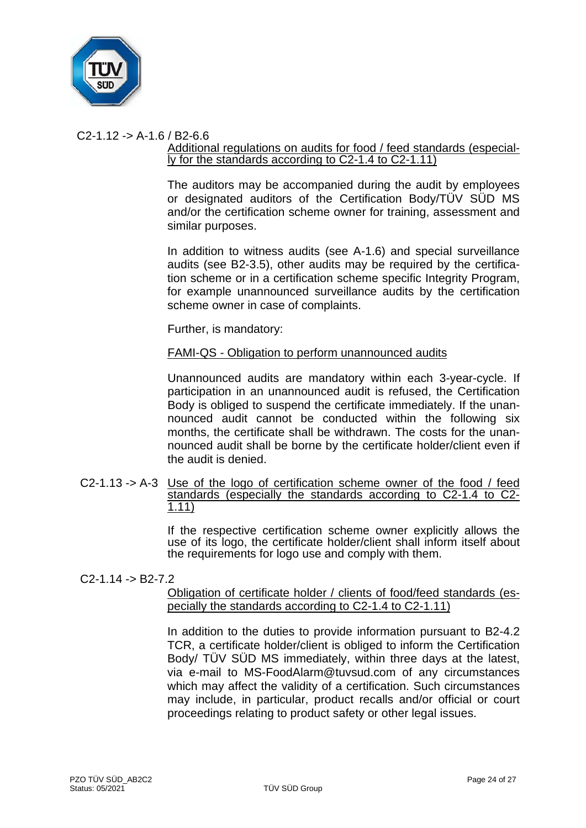

# $C2-1.12 - D A-1.6 / B2-6.6$

## Additional regulations on audits for food / feed standards (especially for the standards according to C2-1.4 to C2-1.11)

The auditors may be accompanied during the audit by employees or designated auditors of the Certification Body/TÜV SÜD MS and/or the certification scheme owner for training, assessment and similar purposes.

In addition to witness audits (see A-1.6) and special surveillance audits (see B2-3.5), other audits may be required by the certification scheme or in a certification scheme specific Integrity Program, for example unannounced surveillance audits by the certification scheme owner in case of complaints.

Further, is mandatory:

## FAMI-QS - Obligation to perform unannounced audits

Unannounced audits are mandatory within each 3-year-cycle. If participation in an unannounced audit is refused, the Certification Body is obliged to suspend the certificate immediately. If the unannounced audit cannot be conducted within the following six months, the certificate shall be withdrawn. The costs for the unannounced audit shall be borne by the certificate holder/client even if the audit is denied.

C2-1.13 -> A-3 Use of the logo of certification scheme owner of the food / feed standards (especially the standards according to C2-1.4 to C2-<br>1.11)

> If the respective certification scheme owner explicitly allows the use of its logo, the certificate holder/client shall inform itself about the requirements for logo use and comply with them.

## $C2-1.14 - B2-7.2$

Obligation of certificate holder / clients of food/feed standards (especially the standards according to C2-1.4 to C2-1.11)

In addition to the duties to provide information pursuant to B2-4.2 TCR, a certificate holder/client is obliged to inform the Certification Body/ TÜV SÜD MS immediately, within three days at the latest, via e-mail to MS-FoodAlarm@tuvsud.com of any circumstances which may affect the validity of a certification. Such circumstances may include, in particular, product recalls and/or official or court proceedings relating to product safety or other legal issues.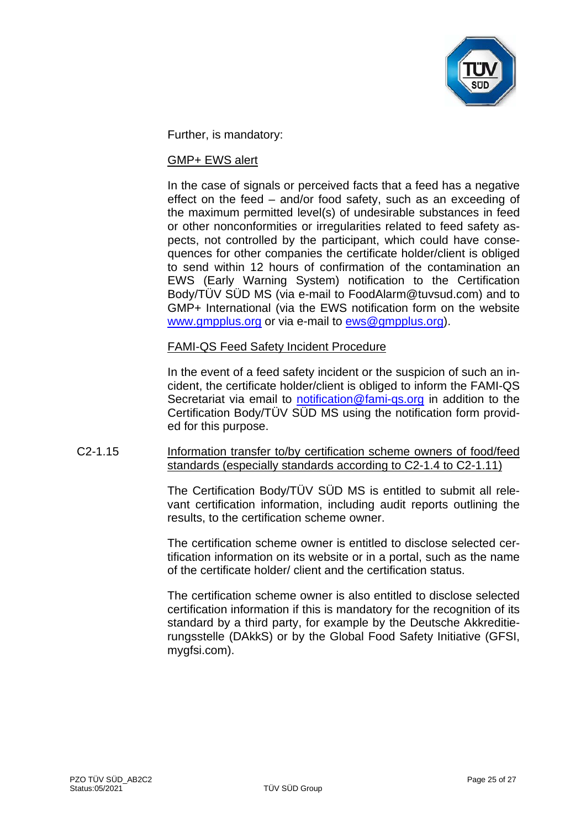

Further, is mandatory:

## GMP+ EWS alert

In the case of signals or perceived facts that a feed has a negative effect on the feed – and/or food safety, such as an exceeding of the maximum permitted level(s) of undesirable substances in feed or other nonconformities or irregularities related to feed safety aspects, not controlled by the participant, which could have consequences for other companies the certificate holder/client is obliged to send within 12 hours of confirmation of the contamination an EWS (Early Warning System) notification to the Certification Body/TÜV SÜD MS (via e-mail to FoodAlarm@tuvsud.com) and to GMP+ International (via the EWS notification form on the website [www.gmpplus.org](http://www.gmpplus.org/) or via e-mail to [ews@gmpplus.org\)](mailto:ews@gmpplus.org).

## FAMI-QS Feed Safety Incident Procedure

In the event of a feed safety incident or the suspicion of such an incident, the certificate holder/client is obliged to inform the FAMI-QS Secretariat via email to [notification@fami-qs.org](mailto:notification@fami-qs.org) in addition to the Certification Body/TÜV SÜD MS using the notification form provided for this purpose.

# C2-1.15 Information transfer to/by certification scheme owners of food/feed standards (especially standards according to C2-1.4 to C2-1.11)

The Certification Body/TÜV SÜD MS is entitled to submit all relevant certification information, including audit reports outlining the results, to the certification scheme owner.

The certification scheme owner is entitled to disclose selected certification information on its website or in a portal, such as the name of the certificate holder/ client and the certification status.

The certification scheme owner is also entitled to disclose selected certification information if this is mandatory for the recognition of its standard by a third party, for example by the Deutsche Akkreditierungsstelle (DAkkS) or by the Global Food Safety Initiative (GFSI, mygfsi.com).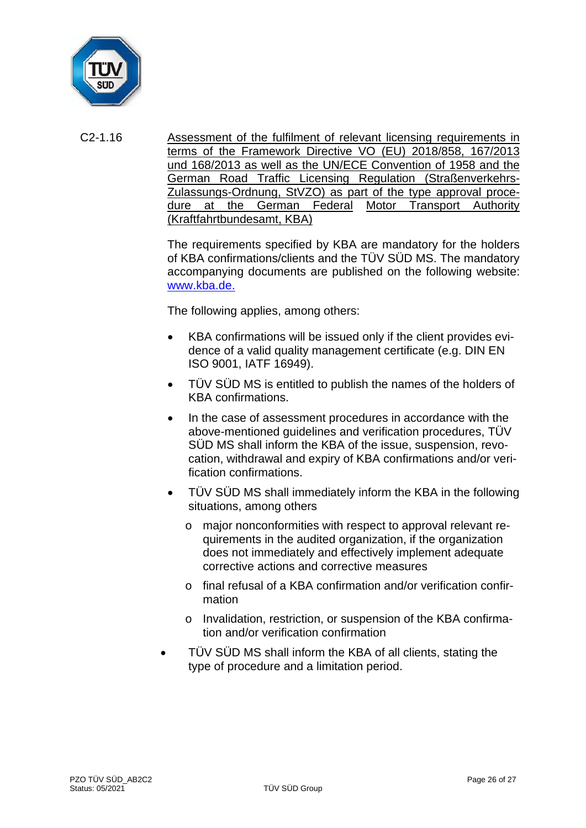

C2-1.16 Assessment of the fulfilment of relevant licensing requirements in terms of the Framework Directive VO (EU) 2018/858, 167/2013 und 168/2013 as well as the UN/ECE Convention of 1958 and the German Road Traffic Licensing Regulation (Straßenverkehrs-Zulassungs-Ordnung, StVZO) as part of the type approval procedure at the German Federal Motor Transport Authority (Kraftfahrtbundesamt, KBA)

> The requirements specified by KBA are mandatory for the holders of KBA confirmations/clients and the TÜV SÜD MS. The mandatory accompanying documents are published on the following website: [www.kba.de.](http://www.kba.de/)

The following applies, among others:

- KBA confirmations will be issued only if the client provides evidence of a valid quality management certificate (e.g. DIN EN ISO 9001, IATF 16949).
- TÜV SÜD MS is entitled to publish the names of the holders of KBA confirmations.
- In the case of assessment procedures in accordance with the above-mentioned guidelines and verification procedures, TÜV SÜD MS shall inform the KBA of the issue, suspension, revocation, withdrawal and expiry of KBA confirmations and/or verification confirmations.
- TÜV SÜD MS shall immediately inform the KBA in the following situations, among others
	- o major nonconformities with respect to approval relevant requirements in the audited organization, if the organization does not immediately and effectively implement adequate corrective actions and corrective measures
	- o final refusal of a KBA confirmation and/or verification confirmation
	- o Invalidation, restriction, or suspension of the KBA confirmation and/or verification confirmation
- TÜV SÜD MS shall inform the KBA of all clients, stating the type of procedure and a limitation period.